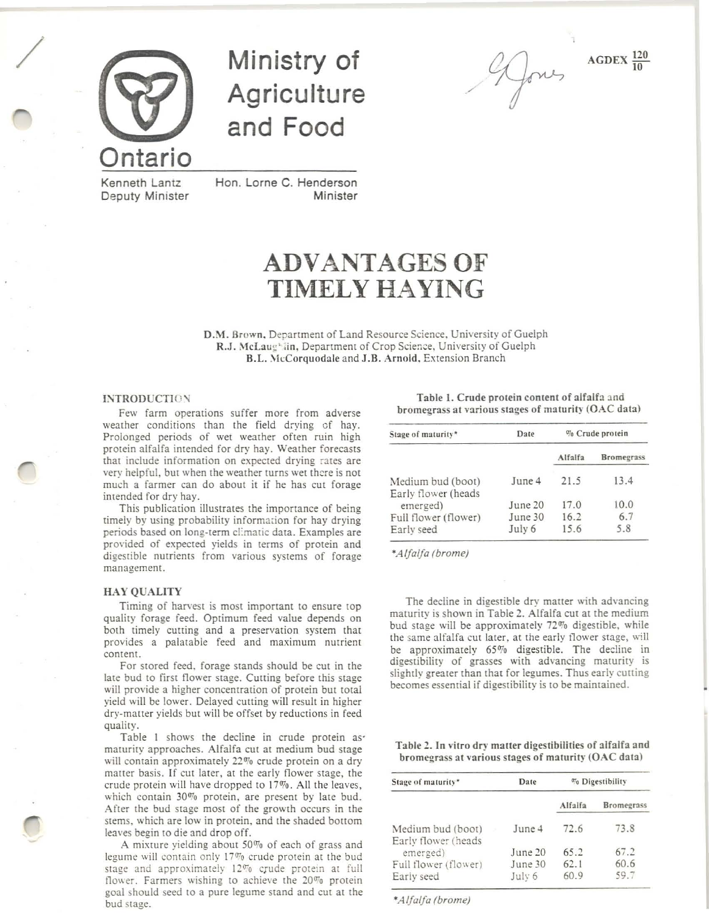

/

Ministry of **Agriculture** and Food

./

 $AGDEX \frac{120}{10}$ 

Kenneth Lantz Deputy Minister

Hon. Lorne C. Henderson Minister

# ADVANTAGES OF TIMELY HAYING

D.M. Brown, Department of Land Resource Science, University of Guelph R.J. McLaug<sup>1</sup>in, Department of Crop Science, University of Guelph B.L. McCorquodale and J.B. Arnold, Extension Branch

#### INTRODUCTION

Few farm operations suffer more from adverse weather conditions than the field drying cf hay. Prolonged periods of wet weather often ruin high protein alfalfa intended for dry hay. Weather forecasts that include information on expected drying rates are very helpful, but when the weather turns wet there is not much a farmer can do about it if he has cut forage inrended for dry hay.

This publication illustrates the importance of being timely by using probability information for hay drying periods based on long-term climatic data. Examples are provided of expected yields in terms of protein and digestible nutrients from various systems of forage management.

### HAY QUALITY

Timing of harvest is most important to ensure rop quality forage feed. Optimum feed value depends on both timely cutting and a preservation system that provides a palatable feed and maximum nutrient content.

For srored feed. forage stands should be cut in the late bud to first flower stage. Cutting before this stage will provide a higher concentration of protein but total yield will be lower. Delayed cutting will result in higher dry-matter yields but will be offset by reductions in feed quality.

Table 1 shows the decline in crude protein asmaturity approaches. Alfalfa cut at medium bud stage will contain approximately 22% crude protein on a dry matter basis. If cut later, at the early flower stage, the crude protein will have dropped to  $17\%$ . All the leaves, which contain  $30\%$  protein, are present by late bud. After the bud stage most of the growth occurs in the stems. which are low in protein, and the shaded bottom leaves begin to die and drop off.

A mixture yielding about 50% of each of grass and legume will contain only  $17\%$  crude protein at the bud stage and approximately 12% crude protein at full flower. Farmers wishing to achieve the  $20\%$  protein goal should seed to a pure legume stand and cut at the bud stage.

Table 1. Crude protein content of alfalfa and bromegrass at various stages of maturity (OAC data)

| Stage of maturity*                       | Date    |         | % Crude protein   |
|------------------------------------------|---------|---------|-------------------|
|                                          |         | Alfalfa | <b>Bromegrass</b> |
| Medium bud (boot)<br>Early flower (heads | June 4  | 21.5    | 13.4              |
| emerged)                                 | June 20 | 17.0    | 10.0              |
| Full flower (flower)                     | June 30 | 16.2    | 6.7               |
| Early seed                               | July 6  | 15.6    | 5.8               |

*'Alfalfa (brame)*

The decline in digestible dry matter with advancing maturity is shown in Table 2. Alfalfa cut at the medium bud stage will be approximately 72% digestible. while the same alfalfa cut later, at the early flower stage, will be approximately *65070* digestible. The decline in digestibility of grasses with advancing maturity is slightly greater than that for legumes. Thus early cutting becomes essential if digestibility is to be maintained.

Table 2. In vitro dry matter digestibilities of alfalfa and bromegrass at various stages of maturity ( $OAC$  data)

| Stage of maturity*                       | Date    |         | <sup>07</sup> 0 Digestibility |  |  |
|------------------------------------------|---------|---------|-------------------------------|--|--|
|                                          |         | Alfalfa | <b>Bromegrass</b>             |  |  |
| Medium bud (boot)<br>Early flower (heads | June 4  | 72.6    | 73.8                          |  |  |
| emerged)                                 | June 20 | 65.2    | 67.2                          |  |  |
| Full flower (flower)                     | June 30 | 62.1    | 60.6                          |  |  |
| Early seed                               | July 6  | 60.9    | 59.7                          |  |  |

*'Alfalfa (brame)*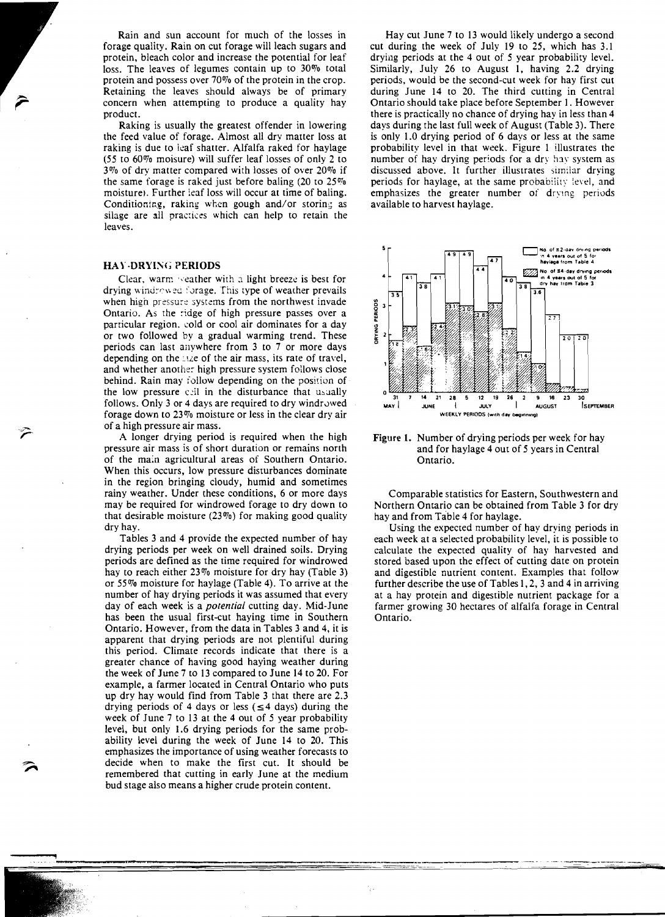Rain and sun account for much of the losses in forage quality. Rain on cut forage will leach sugars and protein, bleach color and increase the potential for leaf loss. The leaves of legumes contain up to 30% total protein and possess over 70% of the protein in the crop. Retaining the leaves should always be of primary concern when attempting to produce a quality hay product.

Raking is usually the greatest offender in lowering the feed value of forage. Almost all dry matter loss at raking is due to leaf shatter. Alfalfa raked for haylage (55 to *60010* moisure) will suffer leaf losses of only 2 to *<sup>3010</sup>*of dry matter compared with losses of over *20010* if the same forage is raked just before baling (20 to 25% moisture). Further leaf loss will occur at time of baling. Conditioning, raking when gough and/or storing as silage are all practices which can help to retain the leaves.

#### **HAY-DRYING PERIODS**

Clear, warm weather with a light breeze is best for drying windrowed forage. This type of weather prevails when high pressure systems from the northwest invade Ontario. As the :idge of high pressure passes over a particular region, cold or cool air dominates for a day or two followed by a gradual warming trend. These periods can last anywhere from 3 to 7 or more days depending on the size of the air mass, its rate of travel, and whether anothe: high pressure system follows close behind. Rain may follow depending on the position of the low pressure call in the disturbance that usually follows. Only 3 or 4 days are required to dry windrowed forage down to 23% moisture or less in the clear dry air of a high pressure air mass.

A longer drying period is required when the high pressure air mass is of short duration or remains north of the main agricultural areas of Southern Ontario. When this occurs, low pressure disturbances dominate in the region bringing cloudy, humid and sometimes rainy weather. Under these conditions, 6 or more days may be required for windrowed forage to dry down to that desirable moisture *(23010)* for making good quality dry hay.

Tables 3 and 4 provide the expected number of hay drying periods per week on well drained soils. Drying periods are defined as the time required for windrowed hay to reach either 23% moisture for dry hay (Table 3) or 55% moisture for haylage (Table 4). To arrive at the number of hay drying periods it was assumed that every day of each week is a *potential* cutting day. Mid-June has been the usual first-cut haying time in Southern Ontario. However, from the data in Tables 3 and 4, it is apparent that drying periods are not plentiful during this period. Climate records indicate that there is a greater chance of having good haying weather during the week of June 7 to 13 compared to June 14 to 20. For example, a farmer located in Central Ontario who puts up dry hay would find from Table 3 that there are 2.3 drying periods of 4 days or less ( $\leq$  4 days) during the week of June 7 to 13 at the 4 out of 5 year probability level, but only 1.6 drying periods for the same probability level during the week of June 14 to 20. This emphasizes the importance of using weather forecasts to decide when to make the first cut. It should be remembered that cutting in early June at the medium bud stage also means a higher crude protein content.

Hay cut June 7 to 13 would likely undergo a second cut during the week of July 19 to 25, which has 3.1 drying periods at the 4 out of 5 year probability level. Similarly, July 26 to August I, having 2.2 drying periods, would be the second-cut week for hay first cut during June 14 to 20. The third cutting in Central Ontario should take place before September I. However there is practically no chance of drying hay in less than 4 days during the last full week of August (Table 3). There is only 1.0 drying period of 6 days or less at the same probability level in that week. Figure I illustrates the number of hay drying periods for a dry hay system as discussed above. It further illustrates sirn:lar drying periods for haylage, at the same probability level, and emphasizes the greater number of drying periods available to harvest haylage.



Figure 1. Number of drying periods per week for hay and for haylage 4 out of 5 years in Central Ontario.

Comparable statistics for Eastern, Southwestern and Northern Ontario can be obtained from Table 3 for dry hay and from Table 4 for haylage.

Using the expected number of hay drying periods in each week at a selected probability level, it is possible to calculate the expected quality of hay harvested and stored based upon the effect of cutting date on protein and digestible nutrient content. Examples that follow further describe the use of Tables 1,2, 3 and 4 in arriving at a hay protein and digestible nutrient package for a farmer growing 30 hectares of alfalfa forage in Central Ontario.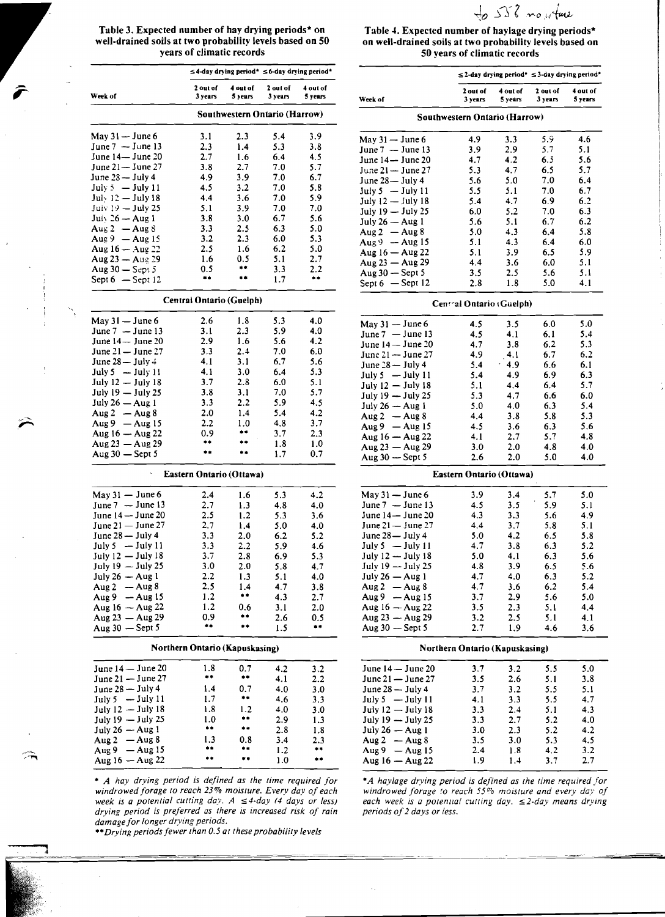$552$  mouture

,-

"

j

 $\leq$  4-day drying period\*  $\leq$  6-day drying period\* 2 out of 4 out of 2 oul of 4 out of 4 out of 3 years 4 out of 3 years 5 years 3 years 5 years 3 years 3 years 3 years 3 years 3 years 3 years 3 years 3 years.<br>The Section of the Section of Section 3 years 3 years 5 years 3 Southwestern Ontario (Harrow) May 31 - June 6 3.1 2.3 5.4 3.9 May 31 - June 6 4.9 3.3 5.9 4.6 June 7 - June 13 2.3 1.4 5.3 3.8 June 7 - June 13 3.9 2.9 5.7 5.1 June 14- June 20 2.7 1.6 6.4 4.5 June 14- June 20 4.7 4.2 6.5 5.6 June 21- June 27 3.8 2.7 7.0 5.7 June 21- June 27 5.3 4.7 6.5 5.7 June2S-July4 4.9 3.9 7.0 6.7 June 28- July 4 5.6 5.0 7.0 6.4 July 5  $-$  July 11 4.5 3.2 7.0 5.8 July 5  $-$  July 11 5.5 5.1 7.0 6.7 July 12 - July 18 4.4 3.6 7.0 5.9 July 12 - July 18 5.4 4.7 6.9 6.2 Juiv  $\frac{19}{2}$  - July 25 5.1 3.9 7.0 7.0 July 19 - July 25 6.0 5.2 7.0 6.3 July 26 - Aug 1 3.8 3.0 6.7 5.6<br>Aug 2 - Aug 8 3.3 2.5 6.3 5.0  $\begin{array}{ccccccccc}\n\text{Au}_8 & 2 & -\text{Au}_8 & 3.3 & 2.5 & 6.3 & 5.0 \\
\text{Au}_8 & 9 & -\text{Au}_8 & 15 & 3.2 & 2.3 & 6.0 & 5.3\n\end{array}$ Aug 9 -Aug 15 3.2 2.3 6.0 5.3 Aug9 -Aug 15 5.1 4.3 6.4 6.0 Aug  $16 - \text{Aug } 22$  2.5 1.6 6.2 5.0 Aug  $16 - \text{Aug } 22$  5.1 3.9 6.5 5.9  $\text{Aug 23} - \text{Aug 29}$  1.6 0.5 5.1 2.7<br>  $\text{Aug 30} - \text{Sept 5}$  0.5 \*\* 3.3 2.2 Aug 30 - Sept 5 0.5 •• 3.3 2.2<br>Sept 6 - Sept 12 •• •• 1.7 •• Sept 6  $-$  Sept 12 •• •• 1.7 •• Aug 50  $-$  Sept 5  $-$  3.5 2.5 5.6 5.1 Central Ontario (Guelph) May 31 - June 6 2.6 1.8 5.3 4.0<br>June 7 - June 13 3.1 2.3 5.9 4.0 June 7 - June 13 3.1 2.3 5.9 4.0 June7 -Junel3 4.5 4.1 6.1 5.4 June 14 June 20 2.9 1.6 5.6 4.2 June 14 June 20 4.7 3.8 6.2 5.3 June 21 - June 27 3.3 2.4 7.0 6.0 June 21 - June 27 4.9 4.1 6.7 6.2 June 28 - July 4 4.1 3.1 6.7 5.6 June 28 - July 4 5.4 4.9 6.6 6.1 July 5  $-$  July 11  $\frac{4.1}{3.0}$   $\frac{3.0}{6.4}$   $\frac{6.4}{5.3}$   $\frac{5.3}{5.4}$   $\frac{5.4}{5.4}$   $\frac{4.9}{4.9}$   $\frac{6.9}{6.9}$   $\frac{6.3}{6.3}$ July 12 - July 18  $\begin{array}{cccc} 3.7 & 2.8 & 6.0 & 5.1 \\ 3.7 & 2.8 & 6.0 & 5.1 \end{array}$  July 12 - July 18  $\begin{array}{cccc} 5.1 & 4.4 & 6.4 & 5.7 \\ 5.1 & 5.7 & 5.7 & 5.7 \end{array}$ July 19 - July 25 3.8 3.1 7.0 5.7 July 19 - July 25 5.3 4.7 6.6 6.0 July  $26 - \text{Aug 1}$   $3.3$   $2.2$   $5.9$   $4.5$  July  $26 - \text{Aug 1}$   $5.0$   $4.0$   $6.3$   $5.4$ duly 26 - Aug 1 3.3 2.2 5.9 4.5<br>
Aug 2 - Aug 8 2.0 1.4 5.4 4.2<br>
Aug 9 - Aug 15 2.2 1.0 4.8 3.7 Aug 9 - Aug 15 2.2 1.0 4.8 3.7<br>Aug 16 - Aug 22 0.9 \*\* 3.7 2.3  $\text{Aug 16} - \text{Aug 22}$   $\text{0.9}$  \*\*  $\text{3.7}$  2.3<br>  $\text{Aug 23} - \text{Aug 29}$  \*\* \*\*  $\text{1.8}$  1.0  $\text{Aug 23} - \text{Aug 29}$  \*\* \*\* 1.8 1.0  $\text{Aug 10} - \text{Aug 22}$  \*.1 2.7 3.7 \*.6<br> $\text{Aug 23} - \text{Aug 29}$  3.0 2.0 4.8 4.0 Aug <sup>30</sup> - Sept 5 •• •• 1.7 0.7 Aug 30 - Sept 5 2.6 2.0 5.0 4.0 Eastern Ontario (Ottawa) May 31 – June 6 2.4 1.6 5.3 4.2 June 7 - June 13 2.7 1.3 4.8 4.0<br>June 14 - June 20 2.5 1.2 5.3 3.6 June 14 - June 20 2.5 1.2 5.3 3.6<br>June 21 - June 27 2.7 1.4 5.0 4.0 June 21 - June 27 2.7 1.4 5.0 4.0<br>June 28 - July 4 3.3 2.0 6.2 5.2 June 28 - July 4 3.3 2.0 6.2<br>July 5 - July 11 3.3 2.2 5.9 July 5  $-$  July 11  $3.3$   $2.2$   $5.9$   $4.6$ July 12 - July 18 3.7 2.8 6.9 5.3<br>
July 19 - July 25 3.0 2.0 5.8 4.7 July  $19 - \text{July } 25$   $3.0$   $2.0$   $5.8$   $4.7$ <br>July  $26 - \text{Aug } 1$   $2.2$   $1.3$   $5.1$   $4.0$ July 26 - Aug 1 2.2 1.3 5.1 4.0<br>Aug 2 - Aug 8 2.5 1.4 4.7 3.8 Aug 2 - Aug 8 2.5 1.4 4.7 3.8<br>Aug 9 - Aug 15 1.2 \*\* 4.3 2.7  $\text{Aug 9} - \text{Aug 15}$   $1.2$  \*\*<br>Aug 16  $\text{Aug 22}$   $1.2$  0.6 Aug  $16 - \text{Aug } 22$  1.2 0.6 3.1 2.0 Aug 23 - Aug 29 0.9 •• 2.6 0.5 Aug 23 - Aug 29 3.2 2.5 5.1 4.1 Aug  $30 -$  Sept 5  $***$  2.5 Northern Ontario (Kapuskasing) Norlhern Onlario (Kapuskasing) June 14- June 20 1.8 0.7 4.2 3.2 June 14-June20 3.7 3.2 5.5 5.0 June 14 - June 20 1.8 0.7 4.2 3.2 June 14 - June 20 3.7 3.2 5.5 5.0<br>June 21 - June 27 \*\* \*\* 4.1 2.2 June 21 - June 27 3.5 2.6 5.1 3.8 June  $28 -$  July 4  $1.4$   $0.7$   $4.0$   $3.0$ <br>July 5  $-$  July 11  $1.7$   $**$   $4.6$   $3.3$ July 5 - July 11 1.7 •• 4.6 3.3 July 5 - July 11 4.1 3.3 5.5 4.7 July 12 - July 18 1.8 1.2 4.0 3.0 July 12 - July 18 3.3 2.4 5.1 4.3  $July 19 - July 25$  1.0 •• 2.9 1.3  $July 19 - July 25$  3.3 2.7 5.2 4.0 <br> $July 26 - Aug 1$  •• •• 2.8 1.8  $July 26 - Aug 1$  3.0 2.3 5.2 4.2 Aug 26 - Aug 1 **\*\*** \*\* 2.8 1.8<br>
Aug 2 - Aug 8 1.3 0.8 3.4 2.3<br>
Aug 9 - Aug 15 \*\* \*\* 1.2 \*\* ~~, Aug9 -Aug 15 •• .. 1.2 •• Aug9 -Aug 15 2.4 1.8 4.2 3.2 Aug 16 - Aug 22 •• •• 1.0 •• Aug 16 - Aug 22 1.9 1.4 3.7 2.7

> *drying period* is *preferred as there* is *increased risk of rain periods of*2 *days or less. damage for longer drying periods.*

---------~-~-~~----=-==--=---------\_.\_--~-,-~ --------,--,-..=-"'.---- =-=-- -- ~~----~ - --

••*Drying periods fewer than 0.5 at these probability levels* 

Table 3. Expected number of hay drying periods\* on Table 4. Expected number of haviage drying periods\* well-drained soils at two probability levels based on 50 on well-drained soils at two probability levels based on<br>50 vears of climatic records 50 vears of climatic records 50 years of climatic records

|                                                |                                |                     | $\leq$ 2-day drying period* $\leq$ 3-day drying period* |                     |
|------------------------------------------------|--------------------------------|---------------------|---------------------------------------------------------|---------------------|
| Week of                                        | 2 out of<br>3 years            | 4 out of<br>5 years | 2 out of<br>3 years                                     | 4 out of<br>5 years |
|                                                | Southwestern Ontario (Harrow)  |                     |                                                         |                     |
| May $31 -$ June 6                              | 4.9                            | 3.3                 | 5.9                                                     | 4.6                 |
| June $7 -$ June 13                             | 3.9                            | 2.9                 | 5.7                                                     | 5.1                 |
| June 14— June 20                               | 4.7                            | 4.2                 | 6.5                                                     | 5.6                 |
| June 21-June 27                                | 5.3                            | 4.7                 | 6.5                                                     | 5.7                 |
| June 28-July 4                                 | 5.6                            | 5.0                 | 7.0                                                     | 6.4                 |
| July $5 -$ July 11                             | 5.5                            | 5.1                 | 7.0                                                     | 6.7                 |
| July 12 - July 18                              | 5.4                            | 4.7                 | 6.9                                                     | 6.2                 |
| July 19 - July 25                              | 6.0                            | 5.2                 | 7.0                                                     | 6.3                 |
| July 26 - Aug 1                                | 5.6                            | 5.1                 | 6.7                                                     | 6.2                 |
| Aug $2 -$ Aug 8                                | 5.0                            | 4,3                 | 6.4                                                     | 5.8                 |
| $Aug9 - Aug15$                                 | 5.1                            | 4.3                 | 6.4                                                     | 6.0                 |
| Aug 16 - Aug 22                                | 5.1                            | 3.9                 | 6.5                                                     | 5.9                 |
| Aug $23 -$ Aug $29$                            | 4.4                            | 3.6                 | 6.0                                                     | 5.1                 |
| Aug 30 - Sept 5                                | 3.5                            | 2.5                 | 5.6                                                     | 5.1                 |
| Sept $6 -$ Sept 12                             | 2.8                            | 1.8                 | 5.0                                                     | 4.1                 |
|                                                | Central Ontario (Guelph)       |                     |                                                         |                     |
| May $31 -$ June 6<br>June 7 - June 13          | 4.5                            | 3.5                 | 6.0                                                     | 5.0                 |
|                                                | 4.5                            | 4.1                 | 6.1                                                     | 5.4                 |
| June 14 - June 20                              | 4.7                            | 3.8                 | 6.2                                                     | 5.3                 |
| June 21 - June 27                              | 4.9                            | 4.1                 | 6.7                                                     | 6.2                 |
| June 28 - July 4                               | 5.4                            | 4.9                 | 6.6                                                     | 6.1                 |
| July $5 -$ July 11                             | 5.4                            | 4.9                 | 6.9                                                     | 6.3                 |
| July 12 - July 18                              | 5.1                            | 4.4                 | 6.4                                                     | 5.7                 |
| July 19 - July 25                              | 5.3                            | 4.7                 | 6.6                                                     | 6.0                 |
| July $26 - Aug1$                               | 5.0                            | 4.0                 | 6.3                                                     | 5.4                 |
| Aug $2 -$ Aug $8$                              | 4.4                            | 3.8                 | 5.8                                                     | 5.3                 |
| Aug 9 $-$ Aug 15                               | 4.5                            | 3.6                 | 6.3                                                     | 5.6                 |
| Aug 16 - Aug 22                                | 4.1                            | 2.7                 | 5.7                                                     | 4.8                 |
| Aug 23 - Aug 29                                | 3.0                            | 2.0                 | 4.8                                                     | 4.0                 |
| Aug $30 -$ Sept 5                              | 2.6                            | 2.0                 | 5.0                                                     | 4.0                 |
|                                                | Eastern Ontario (Ottawa)       |                     |                                                         |                     |
| May 31 — June 6                                | 3.9                            | 3.4                 | 5.7                                                     | 5.0                 |
| June $7 -$ June 13                             | 4.5                            | 3.5                 | 5.9                                                     | 5.1                 |
| June 14- June 20                               | 4.3                            | 3.3                 | 5.6                                                     | 4.9                 |
| June 21 - June 27                              | 4.4                            | 3.7                 | 5.8                                                     | 5.1                 |
| June 28- July 4                                | 5.0                            | 4.2                 | 6.5                                                     | 5.8                 |
| $-$ July 11<br>July 5<br>July $12 -$ July $18$ | 4.7                            | 3.8                 | 6.3                                                     | 5.2                 |
|                                                | 5.0                            | 4.1                 | 6.3                                                     | 5.6                 |
| July 19 - July 25                              | 4.8                            | 3.9                 | 6.5                                                     | 5.6                 |
| July 26 - Aug 1                                | 4.7                            | 4.0                 | 6.3                                                     | 5.2                 |
| Aug 2 $-Aug 8$                                 | 4.7<br>3.7                     | 3.6                 | 6.2                                                     | 5.4                 |
| Aug $9 -$ Aug 15<br>Aug $16 - Aug 22$          |                                | 2.9<br>2.3          | 5.6                                                     | 5.0<br>4,4          |
|                                                | 3.5                            |                     | 5.1                                                     |                     |
| Aug 23 - Aug 29<br>Aug 30 - Sept 5             | 3.2<br>2.7                     | 2.5<br>1.9          | 5.1<br>4.6                                              | 4.1                 |
|                                                |                                |                     |                                                         | 3.6                 |
|                                                | Northern Ontario (Kapuskasing) |                     |                                                         |                     |
| June 14 - June 20                              | 3.7                            | 3.2                 | 5.5                                                     | 5.0                 |
| June 21 - June 27                              | 3.5                            | 2.6                 | 5.1                                                     | 3.8                 |
| June 28 - July 4                               | 3.7                            | 3.2                 | 5.5                                                     | 5.1                 |
| July 5 $-$ July 11                             | 4.1                            | 3.3                 | 5.5                                                     | 4.7                 |
| July 12 - July 18                              | 3.3                            | 2.4                 | 5.1                                                     | 4.3                 |
| July 19 - July 25                              | 3.3                            | 2.7                 | 5.2                                                     | 4.0                 |
| July $26 - Aug 1$                              | 3.0                            | 2.3                 | 5.2                                                     | 4.2                 |
| Aug 2 $-Aug 8$                                 | 3.5                            | 3.0                 | 5.3                                                     | 4.5                 |
| $-$ Aug 15<br>Aug 9                            | 2.4                            | 1.8                 | 4.2                                                     | 3.2                 |
| Aug 16 — Aug 22                                | 1.9                            | 1.4                 | 3.7                                                     | 2.7                 |

*• A hay drying period* is *defined as the time required for •A haylage drying period* is *defined as the time required for windrowed forage* to *reach* 23% *moisture. Every day of each windrowed forage* 10 *reach* 55% *moisture and every day of week* is *a potential cutting day. A sA-day* (4 *days or less) each week* is *a potennal cutting day. s2-day means drying* 

----------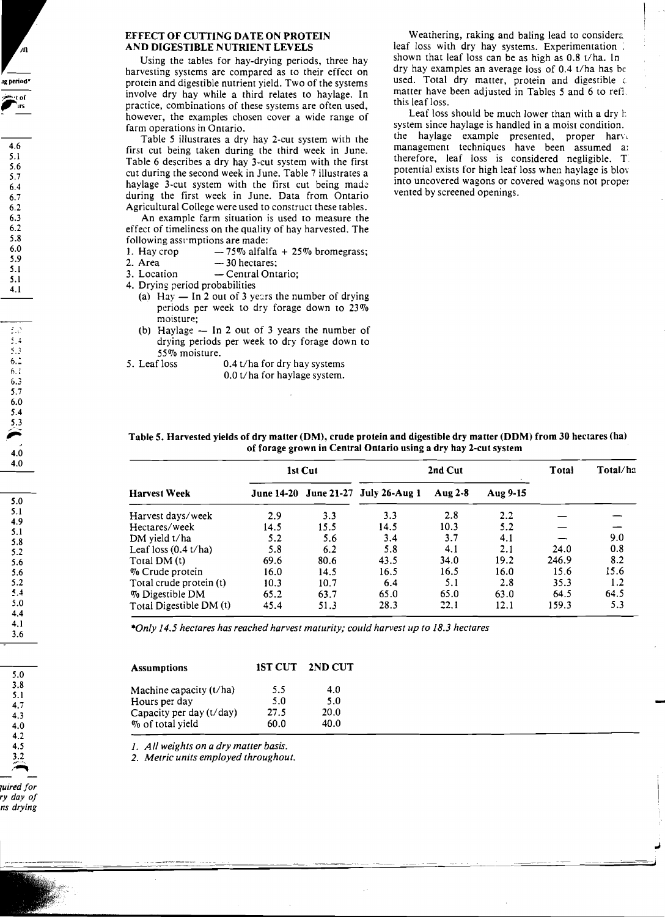# EFFECT OF CUTTING DATE ON PROTEIN AND DIGESTIBLE NUTRIENT LEVELS

Using the tables for hay-drying periods, three hay harvesting systems are compared as to their effect on protein and digestible nutrient yield. Two of the systems involve dry hay while a third relates to haylage. In practice, combinations of these systems are often used, however, the examples chosen cover a wide range of farm operations in Ontario.

Table 5 illustrates a dry hay 2-cut system with the first cut being taken during the third week in June. Table 6 describes a dry hay 3-cut system with the first cut during the second week in June. Table 7 illustrates a haylage 3-cut system with the first cut being made during the first week in June. Data from Ontario Agricultural College were used to construct these tables.

An example farm situation is used to measure the effect of timeliness on the quality of hay harvested. The following assumptions are made:

|  | 1. Hay crop |  | $-75\%$ alfalfa + 25% bromegrass; |
|--|-------------|--|-----------------------------------|
|--|-------------|--|-----------------------------------|

- 2. Area  $-30$  hectares;
- 3. Location Central Ontario;

4. Drying period probabilities

- (a) Hay  $-$  In 2 out of 3 years the number of drying periods per week to dry forage down to  $23\%$ moisture:
- (b) Haylage  $-$  In 2 out of 3 years the number of drying periods per week to dry forage down to
- 55% moisture.<br>5. Leaf loss 0.4 t/ha for dry hay systems 0.0 t/ha for haylage system.

Weathering, raking and baling lead to considera leaf loss with dry hay systems. Experimentation: shown that leaf loss can be as high as 0.8 t/ha. In dry hay examples an average loss of 0.4 t/ha has be used. Total dry matter, protein and digestible c. matter have been adjusted in Tables 5 and 6 to refl. this leaf loss.

Leaf loss should be much lower than with a dry h. system since haylage is handled in a moist condition. the haylage example presented, proper har $v_0$ management techniques have been assumed a: therefore, leaf loss is considered negligible. T potential exists for high leaf loss when havlage is blo\' into uncovered wagons or covered wagons not proper vented by screened openings.

| Table 5. Harvested yields of dry matter (DM), crude protein and digestible dry matter (DDM) from 30 hectares (ha) |  |
|-------------------------------------------------------------------------------------------------------------------|--|
| of forage grown in Central Ontario using a dry hay 2-cut system                                                   |  |

|                         | 1st Cut |      |                                     | Total   | Total/ha |       |      |
|-------------------------|---------|------|-------------------------------------|---------|----------|-------|------|
| Harvest Week            |         |      | June 14-20 June 21-27 July 26-Aug 1 | Aug 2-8 | Aug 9-15 |       |      |
| Harvest days/week       | 2.9     | 3.3  | 3.3                                 | 2.8     | $2.2\,$  |       |      |
| Hectares/week           | 14.5    | 15.5 | 14.5                                | 10.3    | 5.2      |       |      |
| DM yield t/ha           | 5.2     | 5.6  | 3.4                                 | 3.7     | 4.1      |       | 9.0  |
| Leaf loss $(0.4 t/ha)$  | 5.8     | 6.2  | 5.8                                 | 4.1     | 2.1      | 24.0  | 0.8  |
| Total DM (t)            | 69.6    | 80.6 | 43.5                                | 34.0    | 19.2     | 246.9 | 8.2  |
| % Crude protein         | 16.0    | 14.5 | 16.5                                | 16.5    | 16.0     | 15.6  | 15.6 |
| Total crude protein (t) | 10.3    | 10.7 | 6.4                                 | 5.1     | 2.8      | 35.3  | 1.2  |
| % Digestible DM         | 65.2    | 63.7 | 65.0                                | 65.0    | 63.0     | 64.5  | 64.5 |
| Total Digestible DM (t) | 45.4    | 51.3 | 28.3                                | 22.1    | 12.1     | 159.3 | 5.3  |

*\*Only* 14.5 *hectares has reached harvest maturity; could harvest up to* 18.3 *hectares* 

| Assumptions              |      | 1ST CUT 2ND CUT |
|--------------------------|------|-----------------|
| Machine capacity (t/ha)  | 5.5  | 4.0             |
| Hours per day            | 5.0  | 5.0             |
| Capacity per day (t/day) | 27.5 | 20.0            |
| % of total yield         | 60.0 | 40.0            |

*1. All weights on a dry matter basis.* 

*2. Metric units employed throughout.* 

*7uired for ry day of ns drying* 

5.0 3.8 5.1 4.7 4.3 4.0 4.2 4.5 3.2

**,1g period\*** 

int≫

4.6 5.1 5.6 5.7 6.4 6.7 6.2 6.3 6.2 5.8 6.0 5.9 5.1 5.1 4.1

 $\mathbb{R}^3$ *s.*  5.3 6.:  $6.1$ 6.3 5.7 6.0  $\frac{5.4}{2.3}$ 5.3

> 4.0 4.0

5.0 5.1 4.9 5.1 5.8 5.2 5.6 5.6 5.2 5,4 5.0 4.4 4.1 3.6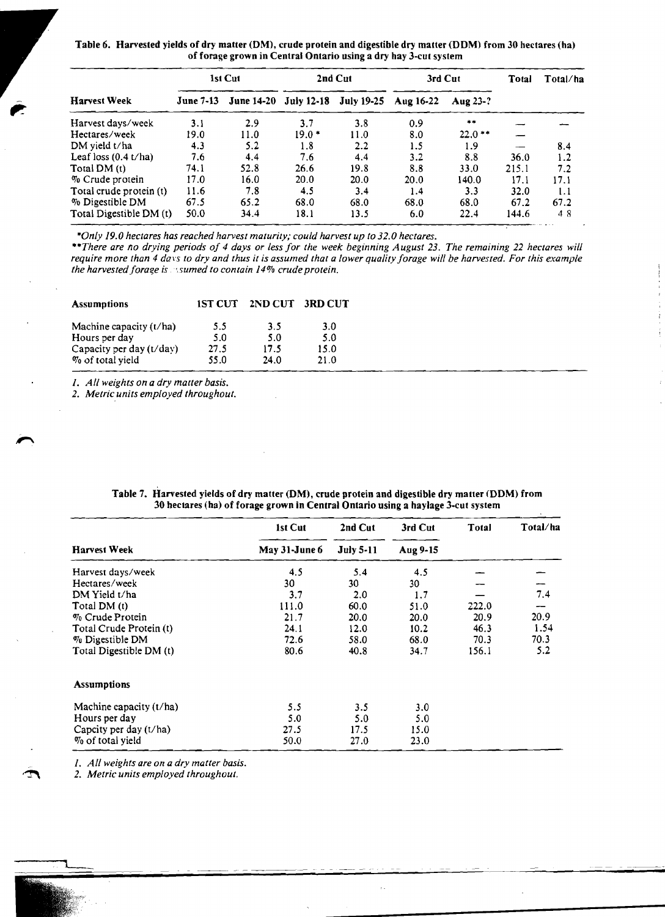Table 6. Harvested yields of dry matter (OM), crude protein and digestible dry matter (DOM) from 30 hectares (ha) of forage grown in Central Ontario using a dry hay 3-cut system

|                         | 1st Cut          |                                  | 2nd Cut |      | 3rd Cut   |          | Total | Total/ha |
|-------------------------|------------------|----------------------------------|---------|------|-----------|----------|-------|----------|
| <b>Harvest Week</b>     | <b>June 7-13</b> | June 14-20 July 12-18 July 19-25 |         |      | Aug 16-22 | Aug 23-? |       |          |
| Harvest days/week       | 3.1              | 2.9                              | 3.7     | 3.8  | 0.9       | $+ +$    |       |          |
| Hectares/week           | 19.0             | 11.0                             | $19.0*$ | 11.0 | 8.0       | $22.0**$ |       |          |
| DM yield t/ha           | 4.3              | 5.2                              | 1.8     | 2.2  | 1.5       | 1.9      |       | 8.4      |
| Leaf loss $(0.4 t/ha)$  | 7.6              | 4.4                              | 7.6     | 4.4  | 3.2       | 8.8      | 36.0  | 1.2      |
| Total DM (t)            | 74.1             | 52.8                             | 26.6    | 19.8 | 8.8       | 33.0     | 215.1 | 7.2      |
| % Crude protein         | 17.0             | 16.0                             | 20.0    | 20.0 | 20.0      | 140.0    | 17.1  | 17.1     |
| Total crude protein (t) | 11.6             | 7.8                              | 4.5     | 3.4  | 1.4       | 3.3      | 32.0  | 1.1      |
| % Digestible DM         | 67.5             | 65.2                             | 68.0    | 68.0 | 68.0      | 68.0     | 67.2  | 67.2     |
| Total Digestible DM (t) | 50.0             | 34.4                             | 18.1    | 13.5 | 6.0       | 22.4     | 144.6 | 48       |

*\*Only 19.0 hectares has reached harvest maturity; could harvest up to 32.0 hectares.* 

*uThere are no drying periods of* 4 *days or less for the week beginning August* 23. *The remaining* 22 *hectares will require more than 4 days to dry and thus it is assumed that a lower quality forage will be harvested. For this example the harvested forage is sumed to contain 14% crude protein.* 

| <b>Assumptions</b>         | <b>1ST CUT</b> | 2ND CUT | <b>3RD CUT</b> |
|----------------------------|----------------|---------|----------------|
| Machine capacity $(t/ha)$  | 5.5            | 3.5     | 3.0            |
| Hours per day              | 5.0            | 5.0     | 5.0            |
| Capacity per day $(t/day)$ | 27.5           | 17.5    | 15.0           |
| % of total yield           | 55.0           | 24.0    | 21.0           |

*1. All weights on a dry malter basis.* 

*2. Metric units employed throughout.* 

|                          | 1st Cut       | 2nd Cut          | 3rd Cut  | Total | Total/ha |  |
|--------------------------|---------------|------------------|----------|-------|----------|--|
| <b>Harvest Week</b>      | May 31-June 6 | <b>July 5-11</b> | Aug 9-15 |       |          |  |
| Harvest days/week        | 4.5           | 5.4              | 4.5      |       |          |  |
| Hectares/week            | 30            | 30               | 30       |       |          |  |
| DM Yield t/ha            | 3.7           | 2.0              | 1.7      |       | 7.4      |  |
| Total DM (t)             | 111.0         | 60.0             | 51.0     | 222.0 |          |  |
| $\%$ Crude Protein       | 21.7          | 20.0             | 20.0     | 20.9  | 20.9     |  |
| Total Crude Protein (t)  | 24.1          | 12.0             | 10.2     | 46.3  | 1.54     |  |
| % Digestible DM          | 72.6          | 58.0             | 68.0     | 70.3  | 70.3     |  |
| Total Digestible DM (t)  | 80.6          | 40.8             | 34.7     | 156.1 | 5.2      |  |
| <b>Assumptions</b>       |               |                  |          |       |          |  |
| Machine capacity (t/ha)  | 5.5           | 3.5              | 3.0      |       |          |  |
| Hours per day            | 5.0           | 5.0              | 5.0      |       |          |  |
| Capcity per day $(t/ha)$ | 27.5          | 17.5             | 15.0     |       |          |  |
| % of total yield         | 50.0          | 27.0             | 23.0     |       |          |  |
|                          |               |                  |          |       |          |  |

Table 7. Harvested yields of dry matter (DM), crude protein and digestible dry matter (DDM) from 30 hectares (ha) of forage grown in Central Ontario using a haylage 3-cut system

1. *All weights are on a dry matter basis.* 

2. *Metric units employed throughout.* 

┯

,<br>E